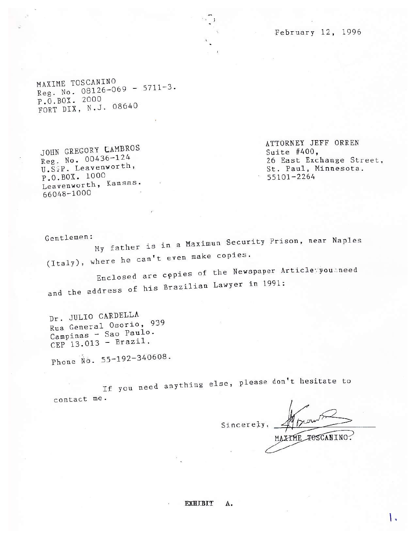February 12, 1996

MAXIME TOSCANINO Reg. No. 08126-069 - 5711-3. P.O.BOX. 2000<br>FORT DIX, N.J. 08640

JOHN GREGORY CAMBROS Reg. No. 00436-124 U.S.P. Leavenworth, P.O.BOX. 1000 Leavenworth, Kansas. 66048-1000

ATTORNEY JEFF ORREN Suite  $#400$ , 26 East Exchange Street, St. Paul, Minnesota.  $55101 - 2264$ 

Gentlemen: My father is in a Maximun Security Prison, near Naples (Italy), where he can't even make copies.

Enclosed are copies of the Newspaper Articleyyou aneed and the address of his Brazilian Lawyer in 1991:

Dr. JULIO CARDELLA Rua General Osorio, 939 Campinas - Sao Paulo.  $CEP$  13.013 - Brazil.

Phone No. 55-192-340608.

If you need anything else, please don't hesitate to contact me.

mon Sincerely MAXIME POSCANINO?